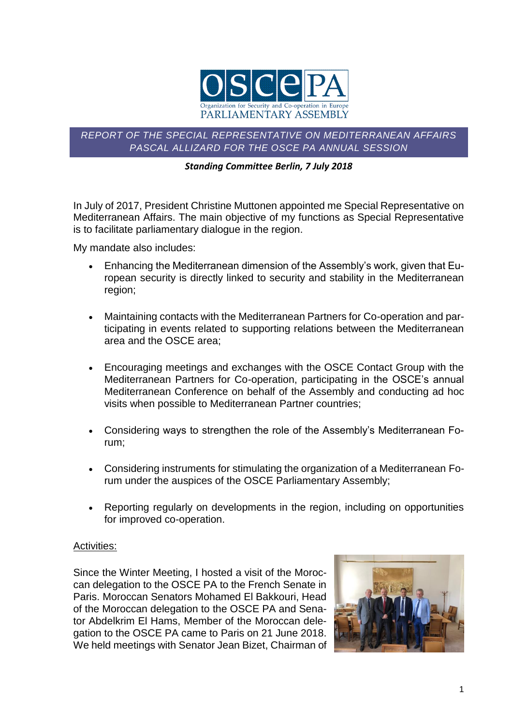

*REPORT OF THE SPECIAL REPRESENTATIVE ON MEDITERRANEAN AFFAIRS PASCAL ALLIZARD FOR THE OSCE PA ANNUAL SESSION*

## *Standing Committee Berlin, 7 July 2018*

In July of 2017, President Christine Muttonen appointed me Special Representative on Mediterranean Affairs. The main objective of my functions as Special Representative is to facilitate parliamentary dialogue in the region.

My mandate also includes:

- Enhancing the Mediterranean dimension of the Assembly's work, given that European security is directly linked to security and stability in the Mediterranean region;
- Maintaining contacts with the Mediterranean Partners for Co-operation and participating in events related to supporting relations between the Mediterranean area and the OSCE area;
- Encouraging meetings and exchanges with the OSCE Contact Group with the Mediterranean Partners for Co-operation, participating in the OSCE's annual Mediterranean Conference on behalf of the Assembly and conducting ad hoc visits when possible to Mediterranean Partner countries;
- Considering ways to strengthen the role of the Assembly's Mediterranean Forum;
- Considering instruments for stimulating the organization of a Mediterranean Forum under the auspices of the OSCE Parliamentary Assembly;
- Reporting regularly on developments in the region, including on opportunities for improved co-operation.

## Activities:

Since the Winter Meeting, I hosted a visit of the Moroccan delegation to the OSCE PA to the French Senate in Paris. Moroccan Senators Mohamed El Bakkouri, Head of the Moroccan delegation to the OSCE PA and Senator Abdelkrim El Hams, Member of the Moroccan delegation to the OSCE PA came to Paris on 21 June 2018. We held meetings with Senator Jean Bizet, Chairman of